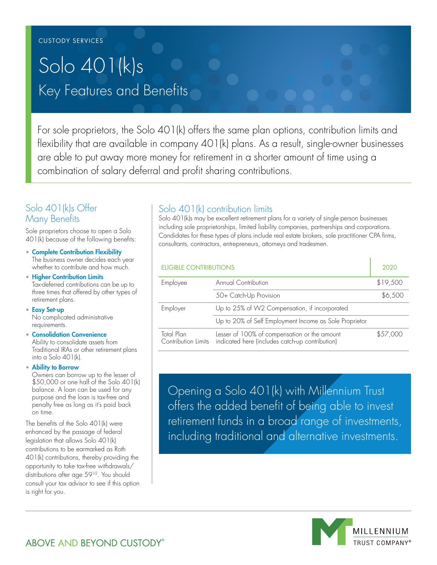# Key Features and Benefits Solo 401(k)s

For sole proprietors, the Solo 401(k) offers the same plan options, contribution limits and flexibility that are available in company 401(k) plans. As a result, single-owner businesses are able to put away more money for retirement in a shorter amount of time using a combination of salary deferral and profit sharing contributions.

## Solo 401(k)s Offer Many Benefits

Sole proprietors choose to open a Solo 401(k) because of the following benefits:

• Complete Contribution Flexibility The business owner decides each year whether to contribute and how much.

• Higher Contribution Limits Tax-deferred contributions can be up to three times that offered by other types of retirement plans.

- Easy Set-up No complicated administrative requirements.
- Consolidation Convenience Ability to consolidate assets from Traditional IRAs or other retirement plans into a Solo 401(k).
- Ability to Borrow

Owners can borrow up to the lesser of \$50,000 or one half of the Solo 401(k) balance. A loan can be used for any purpose and the loan is tax-free and penalty free as long as it's paid back on time.

The benefits of the Solo 401(k) were enhanced by the passage of federal legislation that allows Solo 401(k) contributions to be earmarked as Roth 401(k) contributions, thereby providing the opportunity to take tax-free withdrawals/ distributions after age 59<sup>1/2</sup>. You should consult your tax advisor to see if this option is right for you.

## Solo 401(k) contribution limits

Solo 401(k)s may be excellent retirement plans for a variety of single person businesses including sole proprietorships, limited liability companies, partnerships and corporations. Candidates for these types of plans include real estate brokers, sole practitioner CPA firms, consultants, contractors, entrepreneurs, attorneys and tradesmen.

| <b>ELIGIBLE CONTRIBUTIONS</b>     |                                                                                                 | 2020     |
|-----------------------------------|-------------------------------------------------------------------------------------------------|----------|
| Employee                          | Annual Contribution                                                                             | \$19,500 |
|                                   | 50+ Catch-Up Provision                                                                          | \$6,500  |
| Employer                          | Up to 25% of W2 Compensation, if incorporated                                                   |          |
|                                   | Up to 20% of Self Employment Income as Sole Proprietor                                          |          |
| Total Plan<br>Contribution Limits | Lesser of 100% of compensation or the amount<br>indicated here (includes catch-up contribution) | \$57,000 |

Opening a Solo 401(k) with Millennium Trust offers the added benefit of being able to invest retirement funds in a broad range of investments, including traditional and alternative investments.